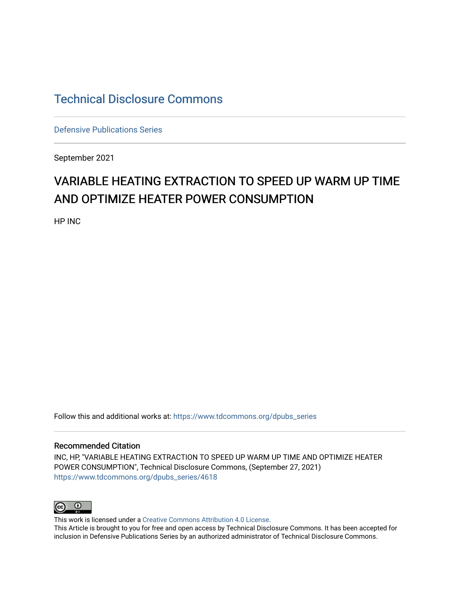## [Technical Disclosure Commons](https://www.tdcommons.org/)

[Defensive Publications Series](https://www.tdcommons.org/dpubs_series)

September 2021

# VARIABLE HEATING EXTRACTION TO SPEED UP WARM UP TIME AND OPTIMIZE HEATER POWER CONSUMPTION

HP INC

Follow this and additional works at: [https://www.tdcommons.org/dpubs\\_series](https://www.tdcommons.org/dpubs_series?utm_source=www.tdcommons.org%2Fdpubs_series%2F4618&utm_medium=PDF&utm_campaign=PDFCoverPages) 

#### Recommended Citation

INC, HP, "VARIABLE HEATING EXTRACTION TO SPEED UP WARM UP TIME AND OPTIMIZE HEATER POWER CONSUMPTION", Technical Disclosure Commons, (September 27, 2021) [https://www.tdcommons.org/dpubs\\_series/4618](https://www.tdcommons.org/dpubs_series/4618?utm_source=www.tdcommons.org%2Fdpubs_series%2F4618&utm_medium=PDF&utm_campaign=PDFCoverPages)



This work is licensed under a [Creative Commons Attribution 4.0 License](http://creativecommons.org/licenses/by/4.0/deed.en_US).

This Article is brought to you for free and open access by Technical Disclosure Commons. It has been accepted for inclusion in Defensive Publications Series by an authorized administrator of Technical Disclosure Commons.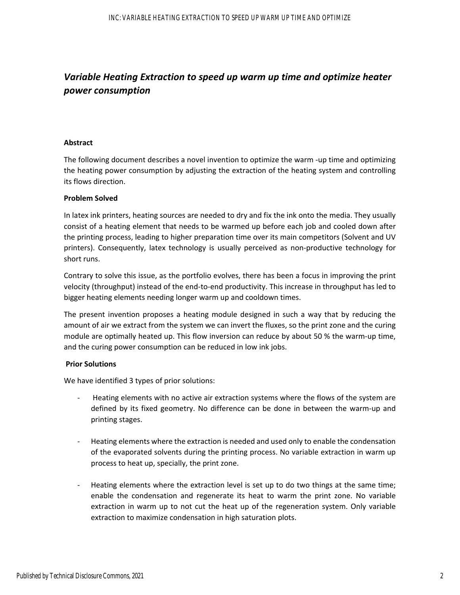## *Variable Heating Extraction to speed up warm up time and optimize heater power consumption*

#### **Abstract**

The following document describes a novel invention to optimize the warm ‐up time and optimizing the heating power consumption by adjusting the extraction of the heating system and controlling its flows direction.

#### **Problem Solved**

In latex ink printers, heating sources are needed to dry and fix the ink onto the media. They usually consist of a heating element that needs to be warmed up before each job and cooled down after the printing process, leading to higher preparation time over its main competitors (Solvent and UV printers). Consequently, latex technology is usually perceived as non-productive technology for short runs.

Contrary to solve this issue, as the portfolio evolves, there has been a focus in improving the print velocity (throughput) instead of the end-to-end productivity. This increase in throughput has led to bigger heating elements needing longer warm up and cooldown times.

The present invention proposes a heating module designed in such a way that by reducing the amount of air we extract from the system we can invert the fluxes, so the print zone and the curing module are optimally heated up. This flow inversion can reduce by about 50 % the warm-up time, and the curing power consumption can be reduced in low ink jobs.

#### **Prior Solutions**

We have identified 3 types of prior solutions:

- ‐ Heating elements with no active air extraction systems where the flows of the system are defined by its fixed geometry. No difference can be done in between the warm‐up and printing stages.
- ‐ Heating elements where the extraction is needed and used only to enable the condensation of the evaporated solvents during the printing process. No variable extraction in warm up process to heat up, specially, the print zone.
- ‐ Heating elements where the extraction level is set up to do two things at the same time; enable the condensation and regenerate its heat to warm the print zone. No variable extraction in warm up to not cut the heat up of the regeneration system. Only variable extraction to maximize condensation in high saturation plots.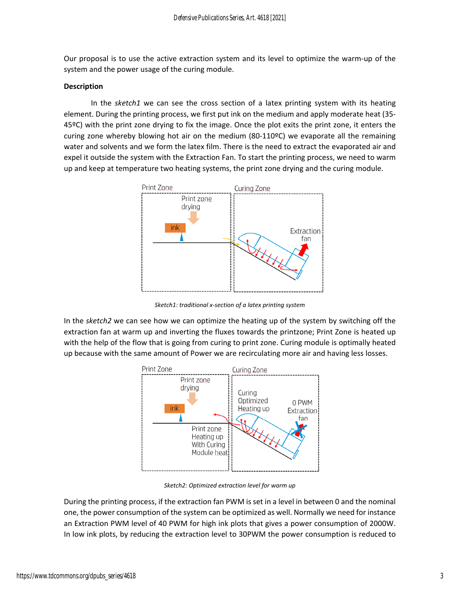Our proposal is to use the active extraction system and its level to optimize the warm‐up of the system and the power usage of the curing module.

#### **Description**

In the *sketch1* we can see the cross section of a latex printing system with its heating element. During the printing process, we first put ink on the medium and apply moderate heat (35‐ 45ºC) with the print zone drying to fix the image. Once the plot exits the print zone, it enters the curing zone whereby blowing hot air on the medium (80-110ºC) we evaporate all the remaining water and solvents and we form the latex film. There is the need to extract the evaporated air and expel it outside the system with the Extraction Fan. To start the printing process, we need to warm up and keep at temperature two heating systems, the print zone drying and the curing module.



*Sketch1: traditional x‐section of a latex printing system*

In the *sketch2* we can see how we can optimize the heating up of the system by switching off the extraction fan at warm up and inverting the fluxes towards the printzone; Print Zone is heated up with the help of the flow that is going from curing to print zone. Curing module is optimally heated up because with the same amount of Power we are recirculating more air and having less losses.



*Sketch2: Optimized extraction level for warm up*

During the printing process, if the extraction fan PWM is set in a level in between 0 and the nominal one, the power consumption of the system can be optimized as well. Normally we need for instance an Extraction PWM level of 40 PWM for high ink plots that gives a power consumption of 2000W. In low ink plots, by reducing the extraction level to 30PWM the power consumption is reduced to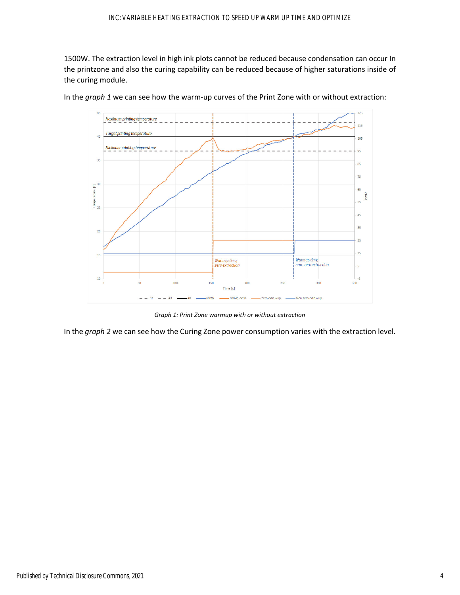1500W. The extraction level in high ink plots cannot be reduced because condensation can occur In the printzone and also the curing capability can be reduced because of higher saturations inside of the curing module.



In the *graph 1* we can see how the warm‐up curves of the Print Zone with or without extraction:

*Graph 1: Print Zone warmup with or without extraction*

In the *graph 2* we can see how the Curing Zone power consumption varies with the extraction level.